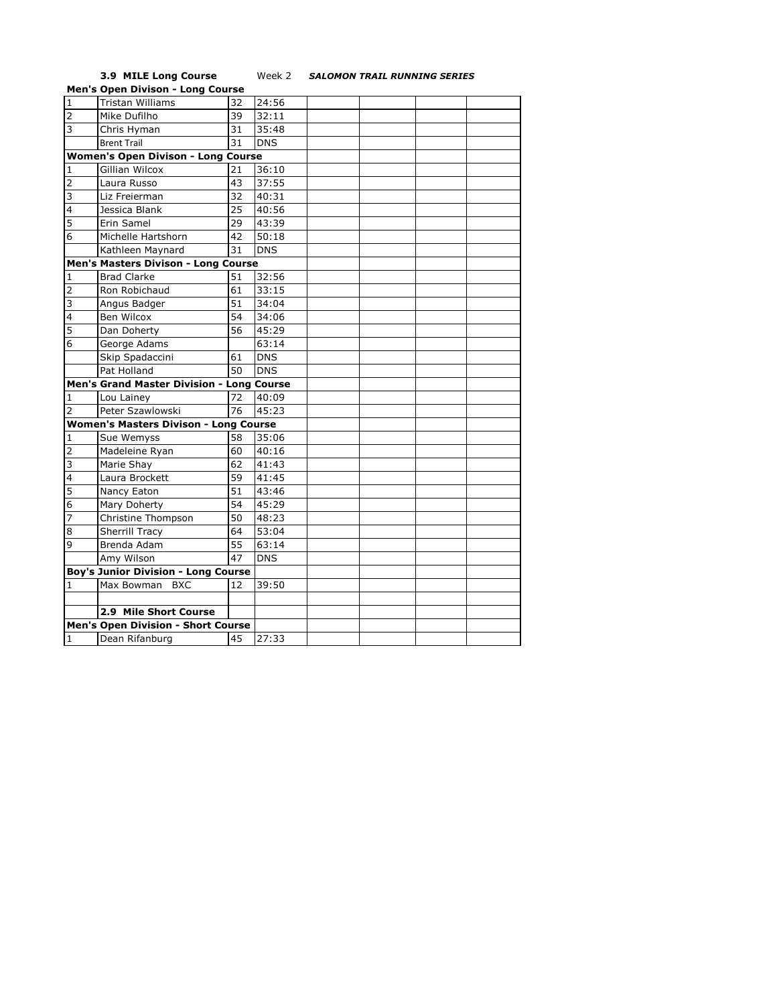## **3.9 MILE Long Course** Week 2 *SALOMON TRAIL RUNNING SERIES*

|                                              | <b>Men's Open Divison - Long Course</b>    |    |            |  |  |  |  |  |
|----------------------------------------------|--------------------------------------------|----|------------|--|--|--|--|--|
| $\mathbf{1}$                                 | <b>Tristan Williams</b>                    | 32 | 24:56      |  |  |  |  |  |
| 2                                            | Mike Dufilho                               | 39 | 32:11      |  |  |  |  |  |
| 3                                            | Chris Hyman                                | 31 | 35:48      |  |  |  |  |  |
|                                              | <b>Brent Trail</b>                         | 31 | <b>DNS</b> |  |  |  |  |  |
| <b>Women's Open Divison - Long Course</b>    |                                            |    |            |  |  |  |  |  |
| 1                                            | Gillian Wilcox                             | 21 | 36:10      |  |  |  |  |  |
| 2                                            | Laura Russo                                | 43 | 37:55      |  |  |  |  |  |
| 3                                            | Liz Freierman                              | 32 | 40:31      |  |  |  |  |  |
| $\overline{4}$                               | Jessica Blank                              | 25 | 40:56      |  |  |  |  |  |
| 5                                            | Erin Samel                                 | 29 | 43:39      |  |  |  |  |  |
| 6                                            | Michelle Hartshorn                         | 42 | 50:18      |  |  |  |  |  |
|                                              | Kathleen Maynard                           | 31 | <b>DNS</b> |  |  |  |  |  |
|                                              | Men's Masters Divison - Long Course        |    |            |  |  |  |  |  |
| $\mathbf{1}$                                 | <b>Brad Clarke</b>                         | 51 | 32:56      |  |  |  |  |  |
| $\overline{2}$                               | Ron Robichaud                              | 61 | 33:15      |  |  |  |  |  |
| 3                                            | Angus Badger                               | 51 | 34:04      |  |  |  |  |  |
| $\overline{4}$                               | Ben Wilcox                                 | 54 | 34:06      |  |  |  |  |  |
| 5                                            | Dan Doherty                                | 56 | 45:29      |  |  |  |  |  |
| 6                                            | George Adams                               |    | 63:14      |  |  |  |  |  |
|                                              | Skip Spadaccini                            | 61 | <b>DNS</b> |  |  |  |  |  |
|                                              | Pat Holland                                | 50 | <b>DNS</b> |  |  |  |  |  |
|                                              | Men's Grand Master Division - Long Course  |    |            |  |  |  |  |  |
| 1                                            | Lou Lainey                                 | 72 | 40:09      |  |  |  |  |  |
| $\overline{2}$                               | Peter Szawlowski                           | 76 | 45:23      |  |  |  |  |  |
| <b>Women's Masters Divison - Long Course</b> |                                            |    |            |  |  |  |  |  |
| 1                                            | Sue Wemyss                                 | 58 | 35:06      |  |  |  |  |  |
| 2                                            | Madeleine Ryan                             | 60 | 40:16      |  |  |  |  |  |
| 3                                            | Marie Shay                                 | 62 | 41:43      |  |  |  |  |  |
| 4                                            | Laura Brockett                             | 59 | 41:45      |  |  |  |  |  |
| 5                                            | Nancy Eaton                                | 51 | 43:46      |  |  |  |  |  |
| 6                                            | Mary Doherty                               | 54 | 45:29      |  |  |  |  |  |
| 7                                            | Christine Thompson                         | 50 | 48:23      |  |  |  |  |  |
| 8                                            | <b>Sherrill Tracy</b>                      | 64 | 53:04      |  |  |  |  |  |
| 9                                            | Brenda Adam                                | 55 | 63:14      |  |  |  |  |  |
|                                              | Amy Wilson                                 | 47 | <b>DNS</b> |  |  |  |  |  |
|                                              | <b>Boy's Junior Division - Long Course</b> |    |            |  |  |  |  |  |
| 1                                            | Max Bowman BXC                             | 12 | 39:50      |  |  |  |  |  |
|                                              |                                            |    |            |  |  |  |  |  |
|                                              | 2.9 Mile Short Course                      |    |            |  |  |  |  |  |
| Men's Open Division - Short Course           |                                            |    |            |  |  |  |  |  |
| $\mathbf{1}$                                 | Dean Rifanburg                             | 45 | 27:33      |  |  |  |  |  |